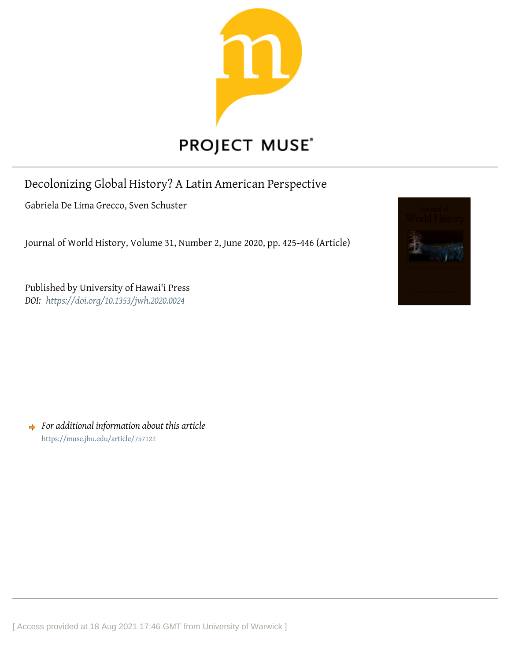

## Decolonizing Global History? A Latin American Perspective

Gabriela De Lima Grecco, Sven Schuster

Journal of World History, Volume 31, Number 2, June 2020, pp. 425-446 (Article)

Published by University of Hawai'i Press *DOI: <https://doi.org/10.1353/jwh.2020.0024>*



*For additional information about this article* <https://muse.jhu.edu/article/757122>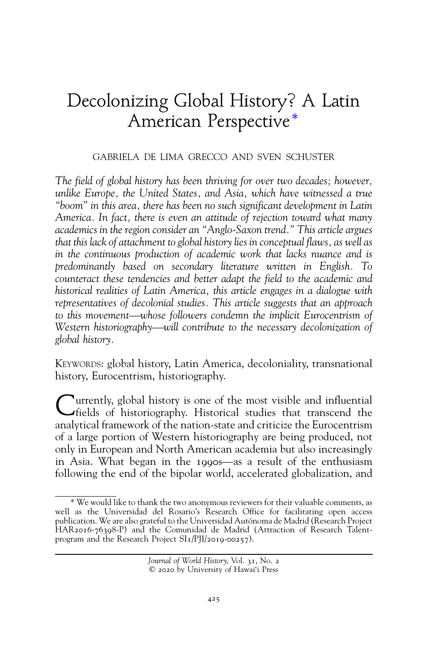## A merican Perspective<sup>\*</sup> American Perspective\*

## GABRIELA DE LIMA GRECCO AND SVEN SCHUSTER

The field of global history has been thriving for over two decades; however, unlike Europe, the United States, and Asia, which have witnessed a true "boom" in this area, there has been no such significant development in Latin America. In fact, there is even an attitude of rejection toward what many academics in the region consider an "Anglo-Saxon trend." This article argues that this lack of attachment to global history lies in conceptual flaws, as well as in the continuous production of academic work that lacks nuance and is predominantly based on secondary literature written in English. To counteract these tendencies and better adapt the field to the academic and historical realities of Latin America, this article engages in a dialogue with representatives of decolonial studies. This article suggests that an approach to this movement—whose followers condemn the implicit Eurocentrism of Western historiography—will contribute to the necessary decolonization of global history.

KEYWORDS: global history, Latin America, decoloniality, transnational history, Eurocentrism, historiography.

**Currently, global history is one of the most visible and influential frields of historiography. Historical studies that transcend the analytical framework of the nation-state and criticize the Eurocentrism of a large port** fields of historiography. Historical studies that transcend the analytical framework of the nation-state and criticize the Eurocentrism of a large portion of Western historiography are being produced, not only in European and North American academia but also increasingly in Asia. What began in the 1990s—as a result of the enthusiasm following the end of the bipolar world, accelerated globalization, and

<sup>\*</sup> We would like to thank the two anonymous reviewers for their valuable comments, as well as the Universidad del Rosario's Research Office for facilitating open access publication. We are also grateful to the Universidad Autónoma de Madrid (Research Project HAR2016-76398-P) and the Comunidad de Madrid (Attraction of Research Talentprogram and the Research Project SI1/PJI/2019-00257).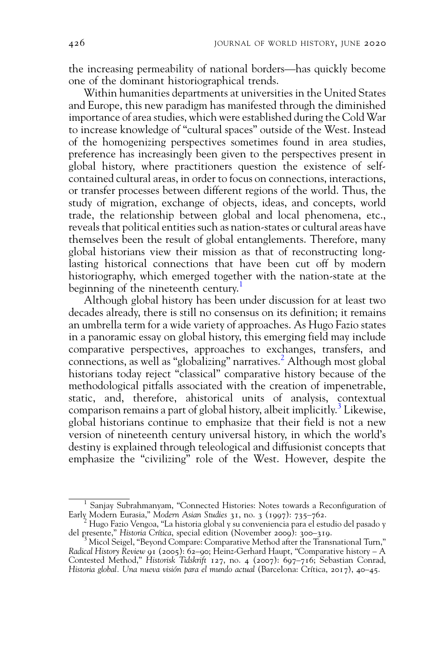the increasing permeability of national borders—has quickly become one of the dominant historiographical trends.

Within humanities departments at universities in the United States and Europe, this new paradigm has manifested through the diminished importance of area studies, which were established during the Cold War to increase knowledge of "cultural spaces" outside of the West. Instead of the homogenizing perspectives sometimes found in area studies, preference has increasingly been given to the perspectives present in global history, where practitioners question the existence of selfcontained cultural areas, in order to focus on connections, interactions, or transfer processes between different regions of the world. Thus, the study of migration, exchange of objects, ideas, and concepts, world trade, the relationship between global and local phenomena, etc., reveals that political entities such as nation-states or cultural areas have themselves been the result of global entanglements. Therefore, many global historians view their mission as that of reconstructing longlasting historical connections that have been cut off by modern historiography, which emerged together with the nation-state at the beginning of the nineteenth century.<sup>1</sup>

Although global history has been under discussion for at least two decades already, there is still no consensus on its definition; it remains an umbrella term for a wide variety of approaches. As Hugo Fazio states in a panoramic essay on global history, this emerging field may include comparative perspectives, approaches to exchanges, transfers, and connections, as well as "globalizing" narratives.2 Although most global historians today reject "classical" comparative history because of the methodological pitfalls associated with the creation of impenetrable, static, and, therefore, ahistorical units of analysis, contextual comparison remains a part of global history, albeit implicitly.<sup>3</sup> Likewise, global historians continue to emphasize that their field is not a new version of nineteenth century universal history, in which the world's destiny is explained through teleological and diffusionist concepts that emphasize the "civilizing" role of the West. However, despite the

<sup>&</sup>lt;sup>1</sup> Sanjay Subrahmanyam, "Connected Histories: Notes towards a Reconfiguration of Early Modern Eurasia," Modern Asian Studies 31, no. 3 (1997): 735–762.

<sup>&</sup>lt;sup>2</sup> Hugo Fazio Vengoa, "La historia global y su conveniencia para el estudio del pasado y del presente," *Historia Crítica*, special edition (November 2009): 300–310.

Micol Seigel, "Beyond Compare: Comparative Method after the Transnational Turn," Radical History Review 91 (2005): 62–90; Heinz-Gerhard Haupt, "Comparative history – A Contested Method," Historisk Tidskrift 127, no. 4 (2007): 697–716; Sebastian Conrad, Historia global. Una nueva visión para el mundo actual (Barcelona: Crítica, 2017), 40–45.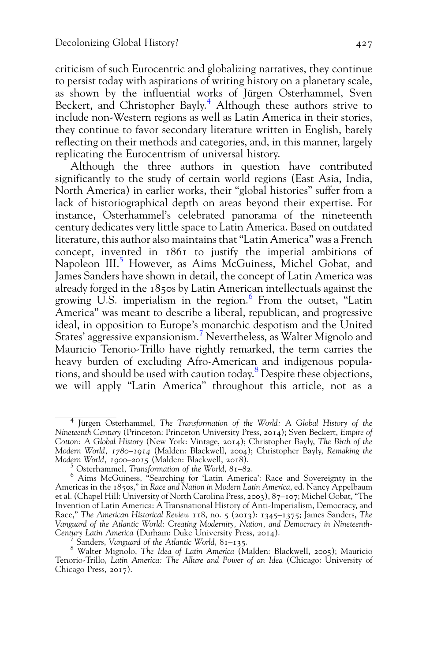criticism of such Eurocentric and globalizing narratives, they continue to persist today with aspirations of writing history on a planetary scale, as shown by the influential works of Jürgen Osterhammel, Sven Beckert, and Christopher Bayly.<sup>4</sup> Although these authors strive to include non-Western regions as well as Latin America in their stories, they continue to favor secondary literature written in English, barely reflecting on their methods and categories, and, in this manner, largely replicating the Eurocentrism of universal history.

Although the three authors in question have contributed significantly to the study of certain world regions (East Asia, India, North America) in earlier works, their "global histories" suffer from a lack of historiographical depth on areas beyond their expertise. For instance, Osterhammel's celebrated panorama of the nineteenth century dedicates very little space to Latin America. Based on outdated literature, this author also maintains that"Latin America" was a French concept, invented in 1861 to justify the imperial ambitions of Napoleon III.<sup>5</sup> However, as Aims McGuiness, Michel Gobat, and James Sanders have shown in detail, the concept of Latin America was already forged in the 1850s by Latin American intellectuals against the growing U.S. imperialism in the region.<sup>6</sup> From the outset, "Latin America" was meant to describe a liberal, republican, and progressive ideal, in opposition to Europe's monarchic despotism and the United States' aggressive expansionism.7 Nevertheless, as Walter Mignolo and Mauricio Tenorio-Trillo have rightly remarked, the term carries the heavy burden of excluding Afro-American and indigenous populations, and should be used with caution today.<sup>8</sup> Despite these objections, we will apply "Latin America" throughout this article, not as a

<sup>&</sup>lt;sup>4</sup> Jürgen Osterhammel, The Transformation of the World: A Global History of the Nineteenth Century (Princeton: Princeton University Press, 2014); Sven Beckert, Empire of Cotton: A Global History (New York: Vintage, 2014); Christopher Bayly, The Birth of the Modern World, 1780–1914 (Malden: Blackwell, 2004); Christopher Bayly, Remaking the Modern World, 1900–2015 (Malden: Blackwell, 2018).<br><sup>5</sup> Osterhammel, Tr*ansformation of the World*, 81–82.<br><sup>6</sup> Aims McGuiness, "Searching for 'Latin America': Race and Sovereignty in the

Americas in the 1850s," in Race and Nation in Modern Latin America, ed. Nancy Appelbaum et al. (Chapel Hill: University of North Carolina Press, 2003), 87–107; Michel Gobat, "The Invention of Latin America: ATransnational History of Anti-Imperialism, Democracy, and Race," The American Historical Review 118, no. 5 (2013): 1345–1375; James Sanders, The Vanguard of the Atlantic World: Creating Modernity, Nation, and Democracy in Nineteenth-

Century Latin America (Durham: Duke University Press, <sup>2014</sup>). <sup>7</sup> Sanders, Vanguard of the Atlantic World, <sup>81</sup>–135. <sup>8</sup> Walter Mignolo, The Idea of Latin America (Malden: Blackwell, <sup>2005</sup>); Mauricio Tenorio-Trillo, Latin America: The Allure and Power of an Idea (Chicago: University of Chicago Press, 2017).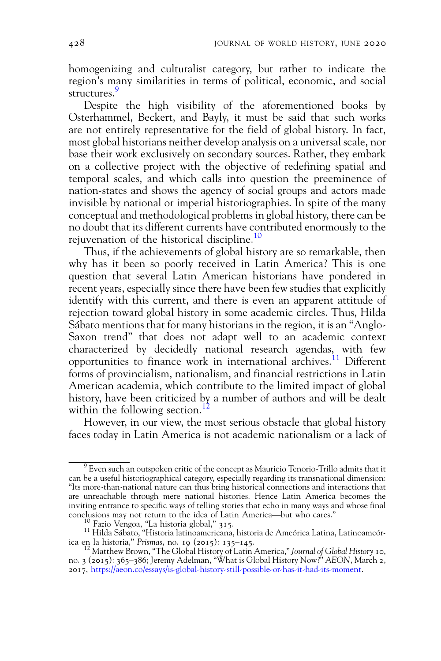homogenizing and culturalist category, but rather to indicate the region's many similarities in terms of political, economic, and social structures.<sup>9</sup>

Despite the high visibility of the aforementioned books by Osterhammel, Beckert, and Bayly, it must be said that such works are not entirely representative for the field of global history. In fact, most global historians neither develop analysis on a universal scale, nor base their work exclusively on secondary sources. Rather, they embark on a collective project with the objective of redefining spatial and temporal scales, and which calls into question the preeminence of nation-states and shows the agency of social groups and actors made invisible by national or imperial historiographies. In spite of the many conceptual and methodological problems in global history, there can be no doubt that its different currents have contributed enormously to the rejuvenation of the historical discipline.<sup>10</sup>

Thus, if the achievements of global history are so remarkable, then why has it been so poorly received in Latin America? This is one question that several Latin American historians have pondered in recent years, especially since there have been few studies that explicitly identify with this current, and there is even an apparent attitude of rejection toward global history in some academic circles. Thus, Hilda Sábato mentions that for many historians in the region, it is an "Anglo-Saxon trend" that does not adapt well to an academic context characterized by decidedly national research agendas, with few opportunities to finance work in international archives.<sup>11</sup> Different forms of provincialism, nationalism, and financial restrictions in Latin American academia, which contribute to the limited impact of global history, have been criticized by a number of authors and will be dealt within the following section.<sup>12</sup>

However, in our view, the most serious obstacle that global history faces today in Latin America is not academic nationalism or a lack of

 $9$  Even such an outspoken critic of the concept as Mauricio Tenorio-Trillo admits that it can be a useful historiographical category, especially regarding its transnational dimension: "Its more-than-national nature can thus bring historical connections and interactions that are unreachable through mere national histories. Hence Latin America becomes the inviting entrance to specific ways of telling stories that echo in many ways and whose final

concisions may not return to the turn to the idea of Latin America—but who cares." 10 Fazio Vengoa, "La historia global," 315.<br><sup>11</sup> Hilda Sábato, "Historia latinoamericana, historia de Ameórica Latina, Latinoameórica en la historia," Prismas, no. 19 (2015): 135–145.<br><sup>12</sup> Matthew Brown, "The Global History of Latin America," Journal of Global History 10,

no. 3 (2015): 365–386; Jeremy Adelman, "What is Global History Now?" AEON, March 2, 2017, https://aeon.co/essays/is-global-history-still-possible-or-has-it-had-its-moment.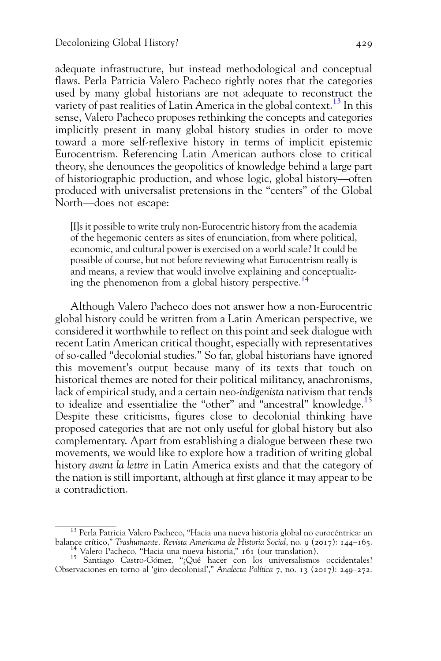adequate infrastructure, but instead methodological and conceptual flaws. Perla Patricia Valero Pacheco rightly notes that the categories used by many global historians are not adequate to reconstruct the variety of past realities of Latin America in the global context.<sup>13</sup> In this sense, Valero Pacheco proposes rethinking the concepts and categories implicitly present in many global history studies in order to move toward a more self-reflexive history in terms of implicit epistemic Eurocentrism. Referencing Latin American authors close to critical theory, she denounces the geopolitics of knowledge behind a large part of historiographic production, and whose logic, global history—often produced with universalist pretensions in the "centers" of the Global North—does not escape:

[I]s it possible to write truly non-Eurocentric history from the academia of the hegemonic centers as sites of enunciation, from where political, economic, and cultural power is exercised on a world scale? It could be possible of course, but not before reviewing what Eurocentrism really is and means, a review that would involve explaining and conceptualizing the phenomenon from a global history perspective.<sup>14</sup>

Although Valero Pacheco does not answer how a non-Eurocentric global history could be written from a Latin American perspective, we considered it worthwhile to reflect on this point and seek dialogue with recent Latin American critical thought, especially with representatives of so-called "decolonial studies." So far, global historians have ignored this movement's output because many of its texts that touch on historical themes are noted for their political militancy, anachronisms, lack of empirical study, and a certain neo-indigenista nativism that tends to idealize and essentialize the "other" and "ancestral" knowledge.<sup>15</sup> Despite these criticisms, figures close to decolonial thinking have proposed categories that are not only useful for global history but also complementary. Apart from establishing a dialogue between these two movements, we would like to explore how a tradition of writing global history avant la lettre in Latin America exists and that the category of the nation is still important, although at first glance it may appear to be a contradiction.

<sup>13</sup> Perla Patricia Valero Pacheco, "Hacia una nueva historia global no eurocéntrica: un balance crítico," Trashumante. Revista Americana de Historia Social, no. 9 (2017): 144–165.<br><sup>14</sup> Valero Pacheco, "Hacia una nueva historia," 161 (our translation).<br><sup>15</sup> Santiago Castro-Gómez, "¿Qué hacer con los universali

Observaciones en torno al 'giro decolonial'," Analecta Política 7, no. 13 (2017): 249–272.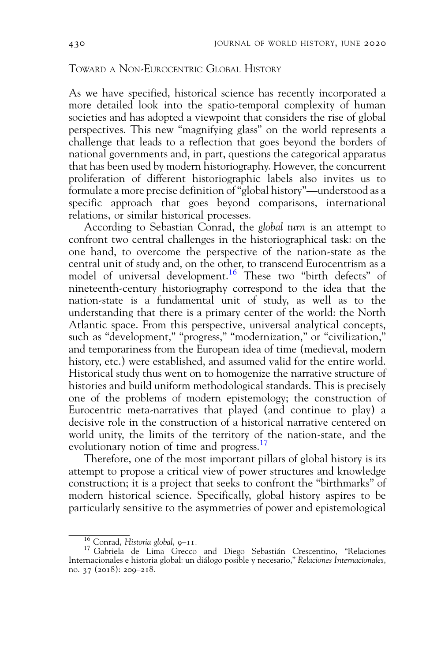## TOWARD A NON-EUROCENTRIC GLOBAL HISTORY

As we have specified, historical science has recently incorporated a more detailed look into the spatio-temporal complexity of human societies and has adopted a viewpoint that considers the rise of global perspectives. This new "magnifying glass" on the world represents a challenge that leads to a reflection that goes beyond the borders of national governments and, in part, questions the categorical apparatus that has been used by modern historiography. However, the concurrent proliferation of different historiographic labels also invites us to formulate a more precise definition of"global history"—understood as a specific approach that goes beyond comparisons, international relations, or similar historical processes.

According to Sebastian Conrad, the global turn is an attempt to confront two central challenges in the historiographical task: on the one hand, to overcome the perspective of the nation-state as the central unit of study and, on the other, to transcend Eurocentrism as a model of universal development.<sup>16</sup> These two "birth defects" of nineteenth-century historiography correspond to the idea that the nation-state is a fundamental unit of study, as well as to the understanding that there is a primary center of the world: the North Atlantic space. From this perspective, universal analytical concepts, such as "development," "progress," "modernization," or "civilization," and temporariness from the European idea of time (medieval, modern history, etc.) were established, and assumed valid for the entire world. Historical study thus went on to homogenize the narrative structure of histories and build uniform methodological standards. This is precisely one of the problems of modern epistemology; the construction of Eurocentric meta-narratives that played (and continue to play) a decisive role in the construction of a historical narrative centered on world unity, the limits of the territory of the nation-state, and the evolutionary notion of time and progress.<sup>17</sup>

Therefore, one of the most important pillars of global history is its attempt to propose a critical view of power structures and knowledge construction; it is a project that seeks to confront the "birthmarks" of modern historical science. Specifically, global history aspires to be particularly sensitive to the asymmetries of power and epistemological

<sup>&</sup>lt;sup>16</sup> Conrad, Historia global, 9–11.<br><sup>17</sup> Gabriela de Lima Grecco and Diego Sebastián Crescentino, "Relaciones Internacionales e historia global: un diálogo posible y necesario," Relaciones Internacionales, no. 37 (2018): 209–218.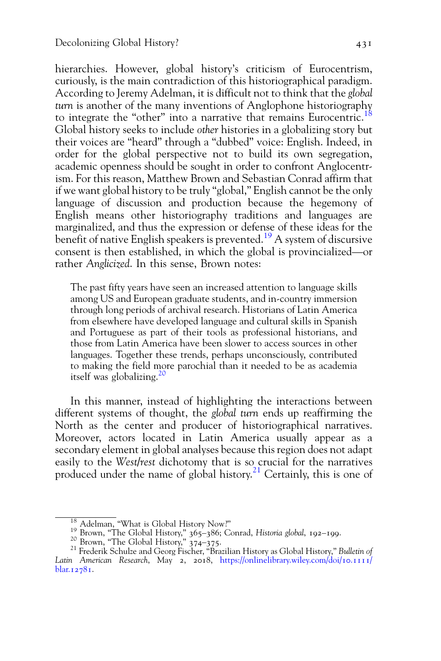hierarchies. However, global history's criticism of Eurocentrism, curiously, is the main contradiction of this historiographical paradigm. According to Jeremy Adelman, it is difficult not to think that the global turn is another of the many inventions of Anglophone historiography to integrate the "other" into a narrative that remains Eurocentric.<sup>18</sup> Global history seeks to include other histories in a globalizing story but their voices are "heard" through a "dubbed" voice: English. Indeed, in order for the global perspective not to build its own segregation, academic openness should be sought in order to confront Anglocentrism. For this reason, Matthew Brown and Sebastian Conrad affirm that if we want global history to be truly "global," English cannot be the only language of discussion and production because the hegemony of English means other historiography traditions and languages are marginalized, and thus the expression or defense of these ideas for the benefit of native English speakers is prevented.<sup>19</sup> A system of discursive consent is then established, in which the global is provincialized—or rather Anglicized. In this sense, Brown notes:

The past fifty years have seen an increased attention to language skills among US and European graduate students, and in-country immersion through long periods of archival research. Historians of Latin America from elsewhere have developed language and cultural skills in Spanish and Portuguese as part of their tools as professional historians, and those from Latin America have been slower to access sources in other languages. Together these trends, perhaps unconsciously, contributed to making the field more parochial than it needed to be as academia itself was globalizing.<sup>20</sup>

In this manner, instead of highlighting the interactions between different systems of thought, the global turn ends up reaffirming the North as the center and producer of historiographical narratives. Moreover, actors located in Latin America usually appear as a secondary element in global analyses because this region does not adapt easily to the West/rest dichotomy that is so crucial for the narratives produced under the name of global history.<sup>21</sup> Certainly, this is one of

<sup>&</sup>lt;sup>18</sup> Adelman, "What is Global History Now?"<br><sup>19</sup> Brown, "The Global History," 365–386; Conrad, Historia global, 192–199.<br><sup>20</sup> Brown, "The Global History," 374–375.<br><sup>21</sup> Frederik Schulze and Georg Fischer, "Brazilian Histo Latin American Research, May 2, 2018, https://onlinelibrary.wiley.com/doi/10.1111/

blar.12781.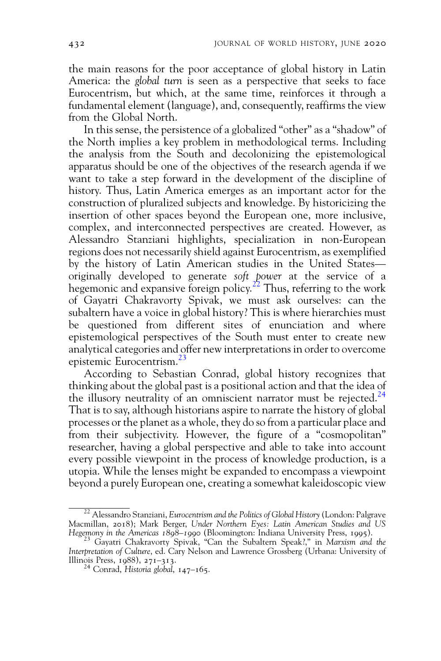the main reasons for the poor acceptance of global history in Latin America: the global turn is seen as a perspective that seeks to face Eurocentrism, but which, at the same time, reinforces it through a fundamental element (language), and, consequently, reaffirms the view from the Global North.

In this sense, the persistence of a globalized "other" as a "shadow" of the North implies a key problem in methodological terms. Including the analysis from the South and decolonizing the epistemological apparatus should be one of the objectives of the research agenda if we want to take a step forward in the development of the discipline of history. Thus, Latin America emerges as an important actor for the construction of pluralized subjects and knowledge. By historicizing the insertion of other spaces beyond the European one, more inclusive, complex, and interconnected perspectives are created. However, as Alessandro Stanziani highlights, specialization in non-European regions does not necessarily shield against Eurocentrism, as exemplified by the history of Latin American studies in the United States originally developed to generate soft power at the service of a hegemonic and expansive foreign policy.<sup>22</sup> Thus, referring to the work of Gayatri Chakravorty Spivak, we must ask ourselves: can the subaltern have a voice in global history? This is where hierarchies must be questioned from different sites of enunciation and where epistemological perspectives of the South must enter to create new analytical categories and offer new interpretations in order to overcome epistemic Eurocentrism.<sup>23</sup>

According to Sebastian Conrad, global history recognizes that thinking about the global past is a positional action and that the idea of the illusory neutrality of an omniscient narrator must be rejected. $24$ That is to say, although historians aspire to narrate the history of global processes or the planet as a whole, they do so from a particular place and from their subjectivity. However, the figure of a "cosmopolitan" researcher, having a global perspective and able to take into account every possible viewpoint in the process of knowledge production, is a utopia. While the lenses might be expanded to encompass a viewpoint beyond a purely European one, creating a somewhat kaleidoscopic view

 $^{22}$  Alessandro Stanziani, Eurocentrism and the Politics of Global History (London: Palgrave Macmillan, 2018); Mark Berger, Under Northern Eyes: Latin American Studies and US<br>Hegemony in the Americas 1898–1990 (Bloomington: Indiana University Press, 1995).

 $\frac{23}{23}$  Gayatri Chakravorty Spivak, "Can the Subaltern Speak?," in Marxism and the Interpretation of Culture, ed. Cary Nelson and Lawrence Grossberg (Urbana: University of Illinois Press, 1988), 271–313.

 $^{24}$  Conrad, Historia global, 147–165.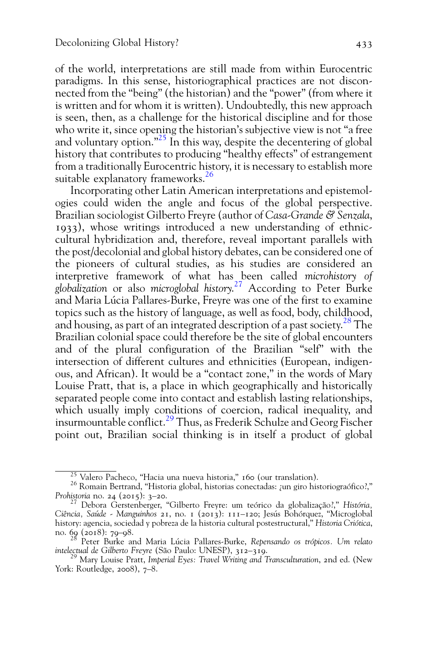of the world, interpretations are still made from within Eurocentric paradigms. In this sense, historiographical practices are not disconnected from the "being" (the historian) and the "power" (from where it is written and for whom it is written). Undoubtedly, this new approach is seen, then, as a challenge for the historical discipline and for those who write it, since opening the historian's subjective view is not "a free and voluntary option."<sup>25</sup> In this way, despite the decentering of global history that contributes to producing "healthy effects" of estrangement from a traditionally Eurocentric history, it is necessary to establish more suitable explanatory frameworks.<sup>26</sup>

Incorporating other Latin American interpretations and epistemologies could widen the angle and focus of the global perspective. Brazilian sociologist Gilberto Frevre (author of Casa-Grande & Senzala, 1933), whose writings introduced a new understanding of ethniccultural hybridization and, therefore, reveal important parallels with the post/decolonial and global history debates, can be considered one of the pioneers of cultural studies, as his studies are considered an interpretive framework of what has been called microhistory of globalization or also microglobal history.<sup>27</sup> According to Peter Burke and Maria Lucia Pallares-Burke, Freyre was one of the first to examine topics such as the history of language, as well as food, body, childhood, and housing, as part of an integrated description of a past society.<sup>28</sup> The Brazilian colonial space could therefore be the site of global encounters and of the plural configuration of the Brazilian "self" with the intersection of different cultures and ethnicities (European, indigenous, and African). It would be a "contact zone," in the words of Mary Louise Pratt, that is, a place in which geographically and historically separated people come into contact and establish lasting relationships, which usually imply conditions of coercion, radical inequality, and insurmountable conflict.<sup>29</sup> Thus, as Frederik Schulze and Georg Fischer point out, Brazilian social thinking is in itself a product of global

<sup>&</sup>lt;sup>25</sup> Valero Pacheco, "Hacia una nueva historia," 160 (our translation).<br><sup>26</sup> Romain Bertrand, "Historia global, historias conectadas: ¿un giro historiograófico?,"<br>*Prohistoria* no. 24 (2015): 3–20.

<sup>&</sup>lt;sup>27</sup> Debora Gerstenberger, "Gilberto Freyre: um teórico da globalização?," História, Ciência, Saúde - Manguinhos 21, no. 1 (2013): 111-120; Jesús Bohórquez, "Microglobal history: agencia, sociedad y pobreza de la historia cultural postestructural," Historia Criótica,

no. 69 (2018): 79–98.<br><sup>28</sup> Peter Burke and Maria Lúcia Pallares-Burke, Repensando os trópicos. Um relato intelectual de Gilberto Freyre (São Paulo: UNESP), 312–319.

<sup>&</sup>lt;sup>29</sup> Mary Louise Pratt, Imperial Eyes: Travel Writing and Transculturation, 2nd ed. (New York: Routledge, 2008), 7-8.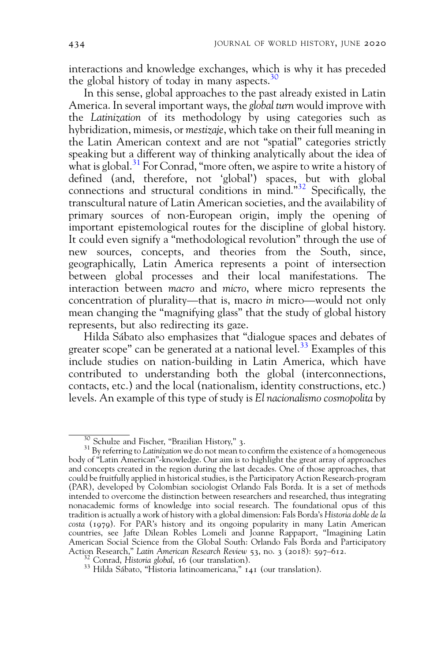interactions and knowledge exchanges, which is why it has preceded the global history of today in many aspects. $30$ 

In this sense, global approaches to the past already existed in Latin America. In several important ways, the global turn would improve with the Latinization of its methodology by using categories such as hybridization, mimesis, or mestizaje, which take on their full meaning in the Latin American context and are not "spatial" categories strictly speaking but a different way of thinking analytically about the idea of what is global.<sup>31</sup> For Conrad, "more often, we aspire to write a history of defined (and, therefore, not 'global') spaces, but with global connections and structural conditions in mind."<sup>32</sup> Specifically, the transcultural nature of Latin American societies, and the availability of primary sources of non-European origin, imply the opening of important epistemological routes for the discipline of global history. It could even signify a "methodological revolution" through the use of new sources, concepts, and theories from the South, since, geographically, Latin America represents a point of intersection between global processes and their local manifestations. The interaction between macro and micro, where micro represents the concentration of plurality—that is, macro in micro—would not only mean changing the "magnifying glass" that the study of global history represents, but also redirecting its gaze.

Hilda Sábato also emphasizes that "dialogue spaces and debates of greater scope" can be generated at a national level.<sup>33</sup> Examples of this include studies on nation-building in Latin America, which have contributed to understanding both the global (interconnections, contacts, etc.) and the local (nationalism, identity constructions, etc.) levels. An example of this type of study is El nacionalismo cosmopolita by

<sup>&</sup>lt;sup>30</sup> Schulze and Fischer, "Brazilian History," 3.<br><sup>31</sup> By referring to Latinization we do not mean to confirm the existence of a homogeneous body of "Latin American"-knowledge. Our aim is to highlight the great array of approaches and concepts created in the region during the last decades. One of those approaches, that could be fruitfully applied in historical studies, is the Participatory Action Research-program (PAR), developed by Colombian sociologist Orlando Fals Borda. It is a set of methods intended to overcome the distinction between researchers and researched, thus integrating nonacademic forms of knowledge into social research. The foundational opus of this tradition is actually a work of history with a global dimension: Fals Borda's Historia doble de la  $\cos t$  (1979). For PAR's history and its ongoing popularity in many Latin American countries, see Jafte Dilean Robles Lomeli and Joanne Rappaport, "Imagining Latin American Social Science from the Global South: Orlando Fals Borda and Participatory<br>Action Research," Latin American Research Review 53, no. 3 (2018): 597-612.

<sup>&</sup>lt;sup>33</sup> Conrad, *Historia global*, 16 (our translation).<br><sup>33</sup> Hilda Sábato, "Historia latinoamericana," 141 (our translation).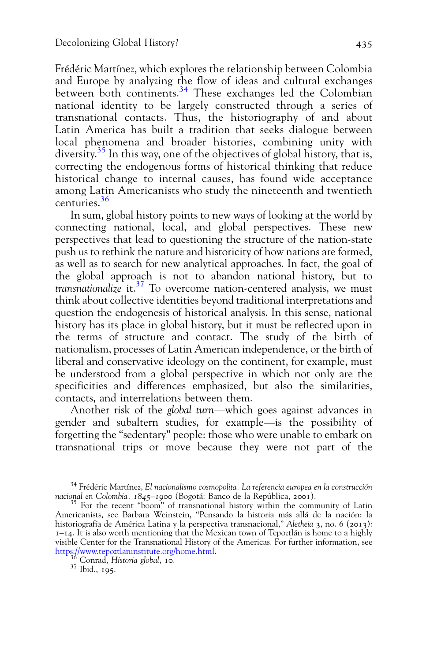Frédéric Martínez, which explores the relationship between Colombia and Europe by analyzing the flow of ideas and cultural exchanges between both continents.<sup>34</sup> These exchanges led the Colombian national identity to be largely constructed through a series of transnational contacts. Thus, the historiography of and about Latin America has built a tradition that seeks dialogue between local phenomena and broader histories, combining unity with diversity.<sup>35</sup> In this way, one of the objectives of global history, that is, correcting the endogenous forms of historical thinking that reduce historical change to internal causes, has found wide acceptance among Latin Americanists who study the nineteenth and twentieth centuries.<sup>36</sup>

In sum, global history points to new ways of looking at the world by connecting national, local, and global perspectives. These new perspectives that lead to questioning the structure of the nation-state push us to rethink the nature and historicity of how nations are formed, as well as to search for new analytical approaches. In fact, the goal of the global approach is not to abandon national history, but to transnationalize it.<sup>37</sup> To overcome nation-centered analysis, we must think about collective identities beyond traditional interpretations and question the endogenesis of historical analysis. In this sense, national history has its place in global history, but it must be reflected upon in the terms of structure and contact. The study of the birth of nationalism, processes of Latin American independence, or the birth of liberal and conservative ideology on the continent, for example, must be understood from a global perspective in which not only are the specificities and differences emphasized, but also the similarities, contacts, and interrelations between them.

Another risk of the global turn—which goes against advances in gender and subaltern studies, for example—is the possibility of forgetting the "sedentary" people: those who were unable to embark on transnational trips or move because they were not part of the

<sup>&</sup>lt;sup>34</sup> Frédéric Martínez, El nacionalismo cosmopolita. La referencia europea en la construcción nacional en Colombia, 1845–1900 (Bogotá: Banco de la República, 2001).

 $35$  For the recent "boom" of transnational history within the community of Latin Americanists, see Barbara Weinstein, "Pensando la historia más allá de la nación: la historiografía de América Latina y la perspectiva transnacional," Aletheia 3, no. 6 (2013):  $1-\frac{1}{4}$ . It is also worth mentioning that the Mexican town of Tepoztlán is home to a highly visible Center for the Transnational History of the Americas. For further information, see https://www.tepoztlaninstitute.org/home.html. <sup>36</sup> Conrad, Historia global, <sup>10</sup>. <sup>37</sup> Ibid., <sup>195</sup>.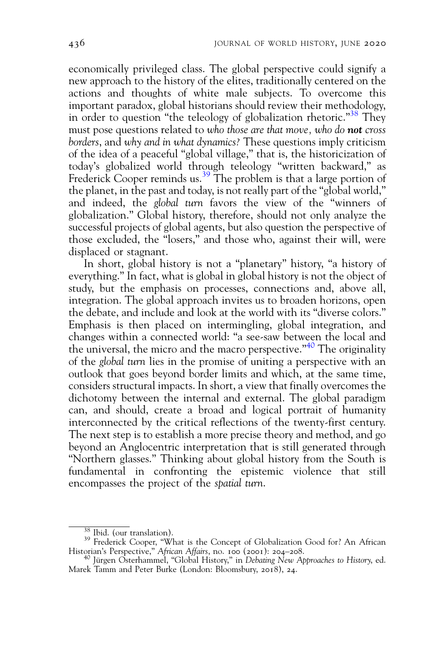economically privileged class. The global perspective could signify a new approach to the history of the elites, traditionally centered on the actions and thoughts of white male subjects. To overcome this important paradox, global historians should review their methodology, in order to question "the teleology of globalization rhetoric."<sup>38</sup> They must pose questions related to who those are that move, who do not cross borders, and why and in what dynamics? These questions imply criticism of the idea of a peaceful "global village," that is, the historicization of today's globalized world through teleology "written backward," as Frederick Cooper reminds us.<sup>39</sup> The problem is that a large portion of the planet, in the past and today, is not really part of the "global world," and indeed, the global turn favors the view of the "winners of globalization." Global history, therefore, should not only analyze the successful projects of global agents, but also question the perspective of those excluded, the "losers," and those who, against their will, were displaced or stagnant.

In short, global history is not a "planetary" history, "a history of everything." In fact, what is global in global history is not the object of study, but the emphasis on processes, connections and, above all, integration. The global approach invites us to broaden horizons, open the debate, and include and look at the world with its "diverse colors." Emphasis is then placed on intermingling, global integration, and changes within a connected world: "a see-saw between the local and the universal, the micro and the macro perspective."<sup>40</sup> The originality of the global turn lies in the promise of uniting a perspective with an outlook that goes beyond border limits and which, at the same time, considers structural impacts. In short, a view that finally overcomes the dichotomy between the internal and external. The global paradigm can, and should, create a broad and logical portrait of humanity interconnected by the critical reflections of the twenty-first century. The next step is to establish a more precise theory and method, and go beyond an Anglocentric interpretation that is still generated through "Northern glasses." Thinking about global history from the South is fundamental in confronting the epistemic violence that still encompasses the project of the spatial turn.

<sup>&</sup>lt;sup>38</sup> Ibid. (our translation).<br><sup>39</sup> Frederick Cooper, "What is the Concept of Globalization Good for? An African Historian's Perspective," African Affairs, no. 100 (2001): 204–208.<br><sup>40</sup> Jürgen Osterhammel, "Global History," in *Debating New Approaches to History*, ed.

Marek Tamm and Peter Burke (London: Bloomsbury, 2018), 24.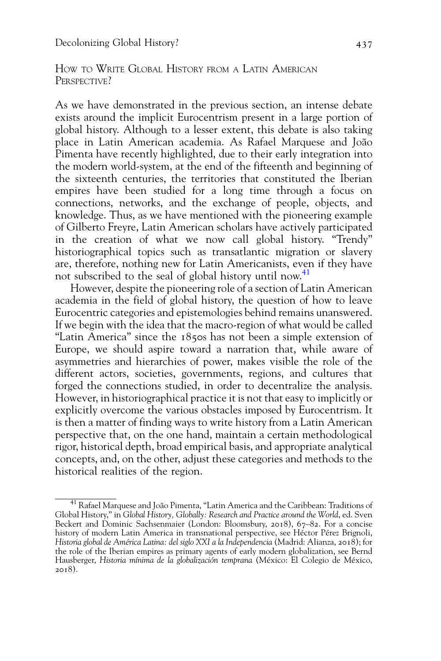HOW TO WRITE GLOBAL HISTORY FROM A LATIN AMERICAN PERSPECTIVE?

As we have demonstrated in the previous section, an intense debate exists around the implicit Eurocentrism present in a large portion of global history. Although to a lesser extent, this debate is also taking place in Latin American academia. As Rafael Marquese and João Pimenta have recently highlighted, due to their early integration into the modern world-system, at the end of the fifteenth and beginning of the sixteenth centuries, the territories that constituted the Iberian empires have been studied for a long time through a focus on connections, networks, and the exchange of people, objects, and knowledge. Thus, as we have mentioned with the pioneering example of Gilberto Freyre, Latin American scholars have actively participated in the creation of what we now call global history. "Trendy" historiographical topics such as transatlantic migration or slavery are, therefore, nothing new for Latin Americanists, even if they have not subscribed to the seal of global history until now.<sup>41</sup>

However, despite the pioneering role of a section of Latin American academia in the field of global history, the question of how to leave Eurocentric categories and epistemologies behind remains unanswered. If we begin with the idea that the macro-region of what would be called "Latin America" since the 1850s has not been a simple extension of Europe, we should aspire toward a narration that, while aware of asymmetries and hierarchies of power, makes visible the role of the different actors, societies, governments, regions, and cultures that forged the connections studied, in order to decentralize the analysis. However, in historiographical practice it is not that easy to implicitly or explicitly overcome the various obstacles imposed by Eurocentrism. It is then a matter of finding ways to write history from a Latin American perspective that, on the one hand, maintain a certain methodological rigor, historical depth, broad empirical basis, and appropriate analytical concepts, and, on the other, adjust these categories and methods to the historical realities of the region.

<sup>41</sup> Rafael Marquese and João Pimenta, "Latin America and the Caribbean: Traditions of Global History," in Global History, Globally: Research and Practice around the World, ed. Sven Beckert and Dominic Sachsenmaier (London: Bloomsbury, 2018), 67–82. For a concise history of modern Latin America in transnational perspective, see Héctor Pérez Brignoli, Historia global de América Latina: del siglo XXI a la Independencia (Madrid: Alianza, 2018); for the role of the Iberian empires as primary agents of early modern globalization, see Bernd Hausberger, Historia mínima de la globalización temprana (México: El Colegio de México, 2018).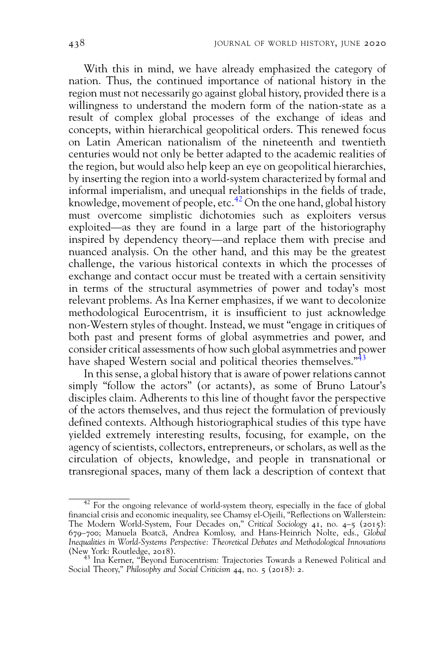With this in mind, we have already emphasized the category of nation. Thus, the continued importance of national history in the region must not necessarily go against global history, provided there is a willingness to understand the modern form of the nation-state as a result of complex global processes of the exchange of ideas and concepts, within hierarchical geopolitical orders. This renewed focus on Latin American nationalism of the nineteenth and twentieth centuries would not only be better adapted to the academic realities of the region, but would also help keep an eye on geopolitical hierarchies, by inserting the region into a world-system characterized by formal and informal imperialism, and unequal relationships in the fields of trade, knowledge, movement of people, etc.<sup>42</sup> On the one hand, global history must overcome simplistic dichotomies such as exploiters versus exploited—as they are found in a large part of the historiography inspired by dependency theory—and replace them with precise and nuanced analysis. On the other hand, and this may be the greatest challenge, the various historical contexts in which the processes of exchange and contact occur must be treated with a certain sensitivity in terms of the structural asymmetries of power and today's most relevant problems. As Ina Kerner emphasizes, if we want to decolonize methodological Eurocentrism, it is insufficient to just acknowledge non-Western styles of thought. Instead, we must "engage in critiques of both past and present forms of global asymmetries and power, and consider critical assessments of how such global asymmetries and power have shaped Western social and political theories themselves."<sup>43</sup>

In this sense, a global history that is aware of power relations cannot simply "follow the actors" (or actants), as some of Bruno Latour's disciples claim. Adherents to this line of thought favor the perspective of the actors themselves, and thus reject the formulation of previously defined contexts. Although historiographical studies of this type have yielded extremely interesting results, focusing, for example, on the agency of scientists, collectors, entrepreneurs, or scholars, as well as the circulation of objects, knowledge, and people in transnational or transregional spaces, many of them lack a description of context that

 $42$  For the ongoing relevance of world-system theory, especially in the face of global financial crisis and economic inequality, see Chamsy el-Ojeili, "Reflections on Wallerstein: The Modern World-System, Four Decades on," Critical Sociology 41, no. 4–5 (2015): 679–700; Manuela Boatcă, Andrea Komlosy, and Hans-Heinrich Nolte, eds., Global Inequalities in World-Systems Perspective: Theoretical Debates and Methodological Innovations (New York: Routledge, <sup>2018</sup>). <sup>43</sup> Ina Kerner, "Beyond Eurocentrism: Trajectories Towards a Renewed Political and

Social Theory," Philosophy and Social Criticism 44, no. 5 (2018): 2.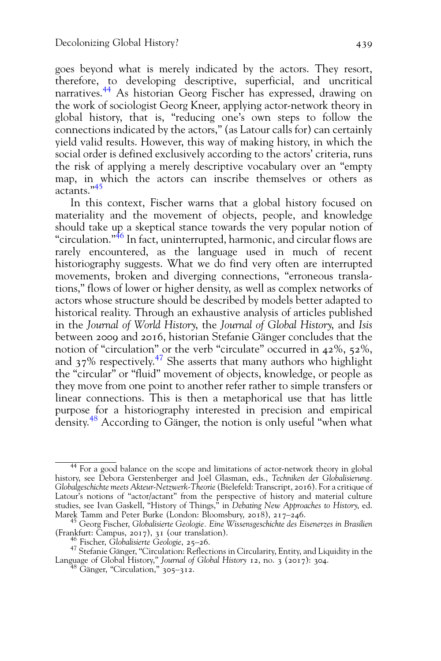goes beyond what is merely indicated by the actors. They resort, therefore, to developing descriptive, superficial, and uncritical narratives.44 As historian Georg Fischer has expressed, drawing on the work of sociologist Georg Kneer, applying actor-network theory in global history, that is, "reducing one's own steps to follow the connections indicated by the actors," (as Latour calls for) can certainly yield valid results. However, this way of making history, in which the social order is defined exclusively according to the actors' criteria, runs the risk of applying a merely descriptive vocabulary over an "empty map, in which the actors can inscribe themselves or others as actants."<sup>45</sup>

In this context, Fischer warns that a global history focused on materiality and the movement of objects, people, and knowledge should take up a skeptical stance towards the very popular notion of "circulation." <sup>46</sup> In fact, uninterrupted, harmonic, and circular flows are rarely encountered, as the language used in much of recent historiography suggests. What we do find very often are interrupted movements, broken and diverging connections, "erroneous translations," flows of lower or higher density, as well as complex networks of actors whose structure should be described by models better adapted to historical reality. Through an exhaustive analysis of articles published in the Journal of World History, the Journal of Global History, and Isis between 2009 and 2016, historian Stefanie Gänger concludes that the notion of "circulation" or the verb "circulate" occurred in 42%, 52%, and  $37\%$  respectively.<sup>47</sup> She asserts that many authors who highlight the "circular" or "fluid" movement of objects, knowledge, or people as they move from one point to another refer rather to simple transfers or linear connections. This is then a metaphorical use that has little purpose for a historiography interested in precision and empirical density.48 According to Gänger, the notion is only useful "when what

<sup>&</sup>lt;sup>44</sup> For a good balance on the scope and limitations of actor-network theory in global history, see Debora Gerstenberger and Joël Glasman, eds., Techniken der Globalisierung. Globalgeschichte meets Akteur-Netzwerk-Theorie(Bielefeld: Transcript, 2016). For a critique of Latour's notions of "actor/actant" from the perspective of history and material culture studies, see Ivan Gaskell, "History of Things," in Debating New Approaches to History, ed.<br>Marek Tamm and Peter Burke (London: Bloomsbury, 2018), 217–246.

<sup>&</sup>lt;sup>45</sup> Georg Fischer, Globalisierte Geologie. Eine Wissensgeschichte des Eisenerzes in Brasilien<br>(Frankfurt: Campus, 2017), 31 (our translation).

<sup>&</sup>lt;sup>46</sup> Fischer, Globalisierte Geologie, 25–26.  $\frac{46}{7}$  Stefanie Gänger, "Circulation: Reflections in Circularity, Entity, and Liquidity in the Language of Global History," Journal of Global History <sup>12</sup>, no. <sup>3</sup> (2017): <sup>304</sup>. <sup>48</sup> Gänger, "Circulation," <sup>305</sup>–312.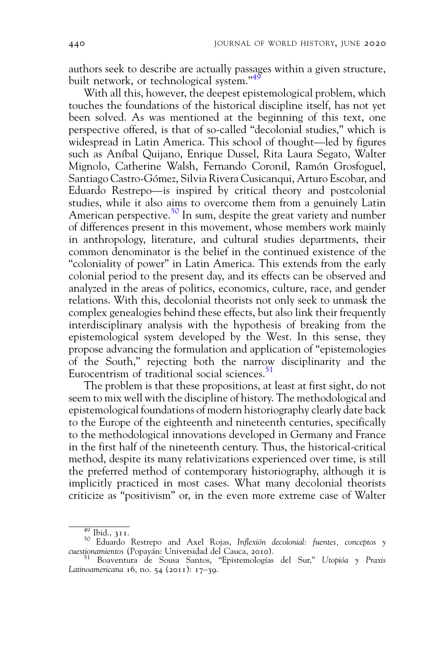authors seek to describe are actually passages within a given structure, built network, or technological system."<sup>49</sup>

With all this, however, the deepest epistemological problem, which touches the foundations of the historical discipline itself, has not yet been solved. As was mentioned at the beginning of this text, one perspective offered, is that of so-called "decolonial studies," which is widespread in Latin America. This school of thought—led by figures such as Aníbal Quijano, Enrique Dussel, Rita Laura Segato, Walter Mignolo, Catherine Walsh, Fernando Coronil, Ramón Grosfoguel, Santiago Castro-Gómez, Silvia Rivera Cusicanqui, Arturo Escobar, and Eduardo Restrepo—is inspired by critical theory and postcolonial studies, while it also aims to overcome them from a genuinely Latin American perspective.<sup>50</sup> In sum, despite the great variety and number of differences present in this movement, whose members work mainly in anthropology, literature, and cultural studies departments, their common denominator is the belief in the continued existence of the "coloniality of power" in Latin America. This extends from the early colonial period to the present day, and its effects can be observed and analyzed in the areas of politics, economics, culture, race, and gender relations. With this, decolonial theorists not only seek to unmask the complex genealogies behind these effects, but also link their frequently interdisciplinary analysis with the hypothesis of breaking from the epistemological system developed by the West. In this sense, they propose advancing the formulation and application of "epistemologies of the South," rejecting both the narrow disciplinarity and the Eurocentrism of traditional social sciences.<sup>51</sup>

The problem is that these propositions, at least at first sight, do not seem to mix well with the discipline of history. The methodological and epistemological foundations of modern historiography clearly date back to the Europe of the eighteenth and nineteenth centuries, specifically to the methodological innovations developed in Germany and France in the first half of the nineteenth century. Thus, the historical-critical method, despite its many relativizations experienced over time, is still the preferred method of contemporary historiography, although it is implicitly practiced in most cases. What many decolonial theorists criticize as "positivism" or, in the even more extreme case of Walter

<sup>49</sup> Ibid., <sup>311</sup>. <sup>50</sup> Eduardo Restrepo and Axel Rojas, Inflexión decolonial: fuentes, conceptos y cuestionamientos (Popayán: Universidad del Cauca, <sup>2010</sup>). <sup>51</sup> Boaventura de Sousa Santos, "Epistemologías del Sur," Utopióa y Praxis

Latinoamericana 16, no. 54 (2011): 17-39.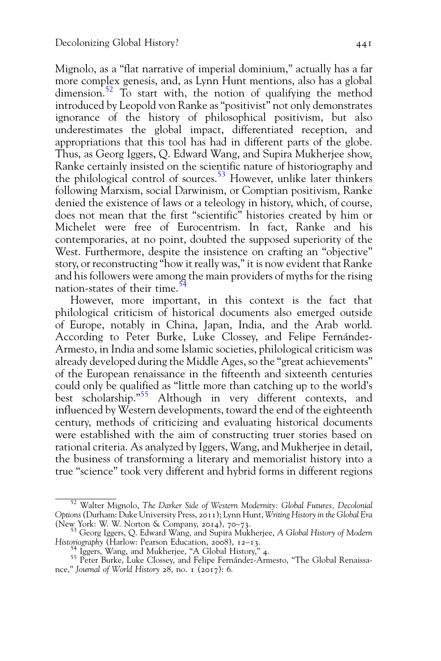Mignolo, as a "flat narrative of imperial dominium," actually has a far more complex genesis, and, as Lynn Hunt mentions, also has a global dimension.<sup>52</sup> To start with, the notion of qualifying the method introduced by Leopold von Ranke as "positivist" not only demonstrates ignorance of the history of philosophical positivism, but also underestimates the global impact, differentiated reception, and appropriations that this tool has had in different parts of the globe. Thus, as Georg Iggers, Q. Edward Wang, and Supira Mukherjee show, Ranke certainly insisted on the scientific nature of historiography and the philological control of sources.<sup>53</sup> However, unlike later thinkers following Marxism, social Darwinism, or Comptian positivism, Ranke denied the existence of laws or a teleology in history, which, of course, does not mean that the first "scientific" histories created by him or Michelet were free of Eurocentrism. In fact, Ranke and his contemporaries, at no point, doubted the supposed superiority of the West. Furthermore, despite the insistence on crafting an "objective" story, or reconstructing "how it really was,"it is now evident that Ranke and his followers were among the main providers of myths for the rising nation-states of their time.<sup>5</sup>

However, more important, in this context is the fact that philological criticism of historical documents also emerged outside of Europe, notably in China, Japan, India, and the Arab world. According to Peter Burke, Luke Clossey, and Felipe Fernández-Armesto, in India and some Islamic societies, philological criticism was already developed during the Middle Ages, so the "great achievements" of the European renaissance in the fifteenth and sixteenth centuries could only be qualified as "little more than catching up to the world's best scholarship." <sup>55</sup> Although in very different contexts, and influenced by Western developments, toward the end of the eighteenth century, methods of criticizing and evaluating historical documents were established with the aim of constructing truer stories based on rational criteria. As analyzed by Iggers, Wang, and Mukherjee in detail, the business of transforming a literary and memorialist history into a true "science" took very different and hybrid forms in different regions

<sup>&</sup>lt;sup>52</sup> Walter Mignolo, The Darker Side of Western Modernity: Global Futures, Decolonial Options (Durham: Duke University Press, 2011); Lynn Hunt, Writing History in the Global Era<br>(New York: W. W. Norton & Company, 2014), 70–73.

 $\frac{53}{20}$  Georg Iggers, Q. Edward Wang, and Supira Mukherjee, A Global History of Modern Historiography (Harlow: Pearson Education, 2008), 12–13.<br>54 Iggers, Wang, and Mukherjee, "A Global History," 4.<br><sup>55</sup> Peter Burke, Luke Clossey, and Felipe Fernández-Armesto, "The Global Renaissa-

nce," Journal of World History 28, no. 1 (2017): 6.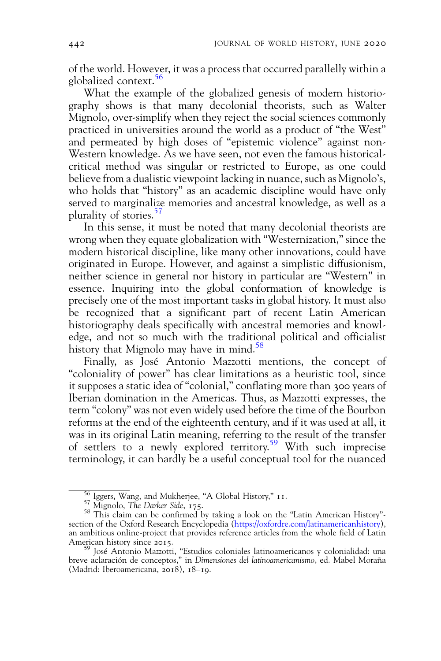of the world. However, it was a process that occurred parallelly within a globalized context.<sup>56</sup>

What the example of the globalized genesis of modern historiography shows is that many decolonial theorists, such as Walter Mignolo, over-simplify when they reject the social sciences commonly practiced in universities around the world as a product of "the West" and permeated by high doses of "epistemic violence" against non-Western knowledge. As we have seen, not even the famous historicalcritical method was singular or restricted to Europe, as one could believe from a dualistic viewpoint lacking in nuance, such as Mignolo's, who holds that "history" as an academic discipline would have only served to marginalize memories and ancestral knowledge, as well as a plurality of stories. $57$ 

In this sense, it must be noted that many decolonial theorists are wrong when they equate globalization with "Westernization," since the modern historical discipline, like many other innovations, could have originated in Europe. However, and against a simplistic diffusionism, neither science in general nor history in particular are "Western" in essence. Inquiring into the global conformation of knowledge is precisely one of the most important tasks in global history. It must also be recognized that a significant part of recent Latin American historiography deals specifically with ancestral memories and knowledge, and not so much with the traditional political and officialist history that Mignolo may have in mind.<sup>58</sup>

Finally, as José Antonio Mazzotti mentions, the concept of "coloniality of power" has clear limitations as a heuristic tool, since it supposes a static idea of "colonial," conflating more than 300 years of Iberian domination in the Americas. Thus, as Mazzotti expresses, the term "colony" was not even widely used before the time of the Bourbon reforms at the end of the eighteenth century, and if it was used at all, it was in its original Latin meaning, referring to the result of the transfer of settlers to a newly explored territory.59 With such imprecise terminology, it can hardly be a useful conceptual tool for the nuanced

<sup>&</sup>lt;sup>56</sup> Iggers, Wang, and Mukherjee, "A Global History," 11.<br><sup>57</sup> Mignolo, *The Darker Side*, 175.<br><sup>58</sup> This claim can be confirmed by taking a look on the "Latin American History"section of the Oxford Research Encyclopedia (https://oxfordre.com/latinamericanhistory), an ambitious online-project that provides reference articles from the whole field of Latin American history since 2015.<br><sup>59</sup> José Antonio Mazzotti, "Estudios coloniales latinoamericanos y colonialidad: una

breve aclaración de conceptos," in Dimensiones del latinoamericanismo, ed. Mabel Moraña (Madrid: Iberoamericana, 2018), 18–19.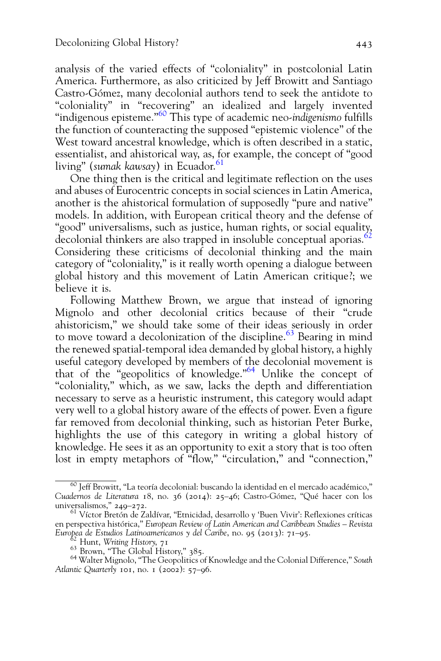analysis of the varied effects of "coloniality" in postcolonial Latin America. Furthermore, as also criticized by Jeff Browitt and Santiago Castro-Gómez, many decolonial authors tend to seek the antidote to "coloniality" in "recovering" an idealized and largely invented "indigenous episteme."<sup>60</sup> This type of academic neo-indigenismo fulfills the function of counteracting the supposed "epistemic violence" of the West toward ancestral knowledge, which is often described in a static, essentialist, and ahistorical way, as, for example, the concept of "good living" (sumak kawsay) in Ecuador.<sup>61</sup>

One thing then is the critical and legitimate reflection on the uses and abuses of Eurocentric concepts in social sciences in Latin America, another is the ahistorical formulation of supposedly "pure and native" models. In addition, with European critical theory and the defense of "good" universalisms, such as justice, human rights, or social equality, decolonial thinkers are also trapped in insoluble conceptual aporias.<sup>62</sup> Considering these criticisms of decolonial thinking and the main category of "coloniality," is it really worth opening a dialogue between global history and this movement of Latin American critique?; we believe it is.

Following Matthew Brown, we argue that instead of ignoring Mignolo and other decolonial critics because of their "crude ahistoricism," we should take some of their ideas seriously in order to move toward a decolonization of the discipline.<sup>63</sup> Bearing in mind the renewed spatial-temporal idea demanded by global history, a highly useful category developed by members of the decolonial movement is that of the "geopolitics of knowledge."<sup>64</sup> Unlike the concept of "coloniality," which, as we saw, lacks the depth and differentiation necessary to serve as a heuristic instrument, this category would adapt very well to a global history aware of the effects of power. Even a figure far removed from decolonial thinking, such as historian Peter Burke, highlights the use of this category in writing a global history of knowledge. He sees it as an opportunity to exit a story that is too often lost in empty metaphors of "flow," "circulation," and "connection,"

<sup>60</sup> Jeff Browitt, "La teoría decolonial: buscando la identidad en el mercado académico," Cuadernos de Literatura 18, no. 36 (2014): 25–46; Castro-Gómez, "Qué hacer con los

<sup>&</sup>lt;sup>61</sup> Víctor Bretón de Zaldívar, "Etnicidad, desarrollo y 'Buen Vivir': Reflexiones críticas en perspectiva histórica," European Review of Latin American and Caribbean Studies – Revista<br>Europea de Estudios Latinoamericanos y del Caribe, no. 95 (2013): 71–95.

eur de Europea de Estudios Latinoamericanos y del Caribe, no. 95<br><sup>63</sup> Brown, "The Global History," 385. 64 Walter Mignolo, "The Geopolitics of Knowledge and the Colonial Difference," So*uth* Atlantic Quarterly 101, no. 1 (2002): 57-96.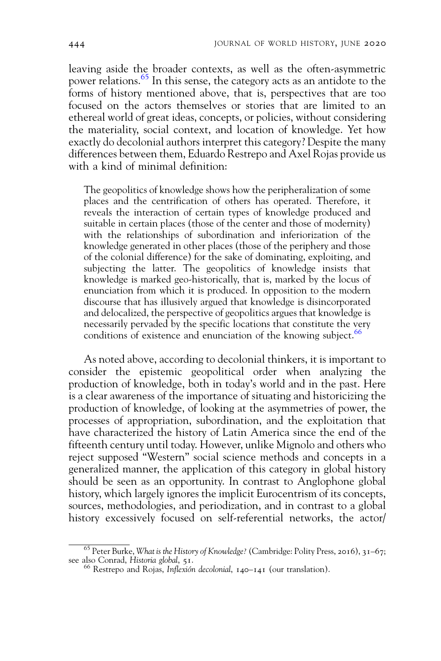leaving aside the broader contexts, as well as the often-asymmetric power relations.65 In this sense, the category acts as an antidote to the forms of history mentioned above, that is, perspectives that are too focused on the actors themselves or stories that are limited to an ethereal world of great ideas, concepts, or policies, without considering the materiality, social context, and location of knowledge. Yet how exactly do decolonial authors interpret this category? Despite the many differences between them, Eduardo Restrepo and Axel Rojas provide us with a kind of minimal definition:

The geopolitics of knowledge shows how the peripheralization of some places and the centrification of others has operated. Therefore, it reveals the interaction of certain types of knowledge produced and suitable in certain places (those of the center and those of modernity) with the relationships of subordination and inferiorization of the knowledge generated in other places (those of the periphery and those of the colonial difference) for the sake of dominating, exploiting, and subjecting the latter. The geopolitics of knowledge insists that knowledge is marked geo-historically, that is, marked by the locus of enunciation from which it is produced. In opposition to the modern discourse that has illusively argued that knowledge is disincorporated and delocalized, the perspective of geopolitics argues that knowledge is necessarily pervaded by the specific locations that constitute the very conditions of existence and enunciation of the knowing subject.<sup>66</sup>

As noted above, according to decolonial thinkers, it is important to consider the epistemic geopolitical order when analyzing the production of knowledge, both in today's world and in the past. Here is a clear awareness of the importance of situating and historicizing the production of knowledge, of looking at the asymmetries of power, the processes of appropriation, subordination, and the exploitation that have characterized the history of Latin America since the end of the fifteenth century until today. However, unlike Mignolo and others who reject supposed "Western" social science methods and concepts in a generalized manner, the application of this category in global history should be seen as an opportunity. In contrast to Anglophone global history, which largely ignores the implicit Eurocentrism of its concepts, sources, methodologies, and periodization, and in contrast to a global history excessively focused on self-referential networks, the actor/

<sup>&</sup>lt;sup>65</sup> Peter Burke, *What is the History of Knowledge?* (Cambridge: Polity Press, 2016), 31–67; see also Conrad, *Historia global*, 51.

 $66$  Restrepo and Rojas, Inflexión decolonial,  $140-141$  (our translation).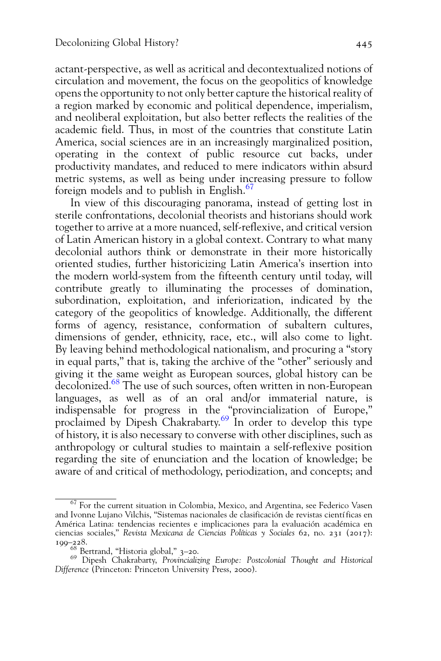actant-perspective, as well as acritical and decontextualized notions of circulation and movement, the focus on the geopolitics of knowledge opens the opportunity to not only better capture the historical reality of a region marked by economic and political dependence, imperialism, and neoliberal exploitation, but also better reflects the realities of the academic field. Thus, in most of the countries that constitute Latin America, social sciences are in an increasingly marginalized position, operating in the context of public resource cut backs, under productivity mandates, and reduced to mere indicators within absurd metric systems, as well as being under increasing pressure to follow foreign models and to publish in English.<sup>67</sup>

In view of this discouraging panorama, instead of getting lost in sterile confrontations, decolonial theorists and historians should work together to arrive at a more nuanced, self-reflexive, and critical version of Latin American history in a global context. Contrary to what many decolonial authors think or demonstrate in their more historically oriented studies, further historicizing Latin America's insertion into the modern world-system from the fifteenth century until today, will contribute greatly to illuminating the processes of domination, subordination, exploitation, and inferiorization, indicated by the category of the geopolitics of knowledge. Additionally, the different forms of agency, resistance, conformation of subaltern cultures, dimensions of gender, ethnicity, race, etc., will also come to light. By leaving behind methodological nationalism, and procuring a "story in equal parts," that is, taking the archive of the "other" seriously and giving it the same weight as European sources, global history can be decolonized.<sup>68</sup> The use of such sources, often written in non-European languages, as well as of an oral and/or immaterial nature, is indispensable for progress in the "provincialization of Europe," proclaimed by Dipesh Chakrabarty.<sup>69</sup> In order to develop this type of history, it is also necessary to converse with other disciplines, such as anthropology or cultural studies to maintain a self-reflexive position regarding the site of enunciation and the location of knowledge; be aware of and critical of methodology, periodization, and concepts; and

 $67$  For the current situation in Colombia, Mexico, and Argentina, see Federico Vasen and Ivonne Lujano Vilchis, "Sistemas nacionales de clasificación de revistas cientí ficas en América Latina: tendencias recientes e implicaciones para la evaluación académica en ciencias sociales," Revista Mexicana de Ciencias Políticas y Sociales 62, no. 231 (2017):<br>199–228.<br><sup>68</sup> Bertrand, "Historia global," 3–20.

<sup>&</sup>lt;sup>69</sup> Dipesh Chakrabarty, Provincializing Europe: Postcolonial Thought and Historical Difference (Princeton: Princeton University Press, 2000).